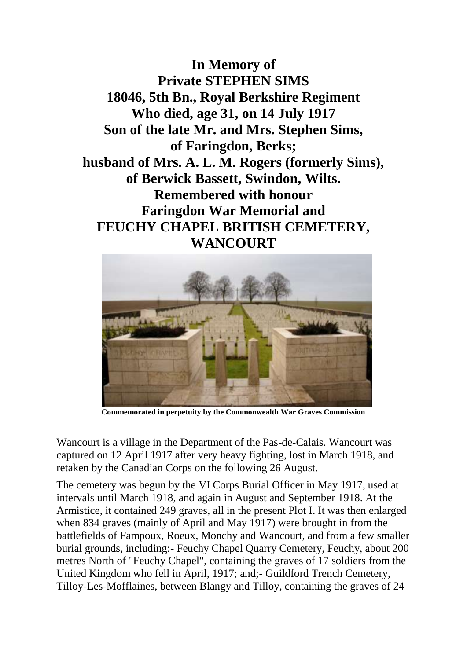**In Memory of Private STEPHEN SIMS 18046, 5th Bn., Royal Berkshire Regiment Who died, age 31, on 14 July 1917 Son of the late Mr. and Mrs. Stephen Sims, of Faringdon, Berks; husband of Mrs. A. L. M. Rogers (formerly Sims), of Berwick Bassett, Swindon, Wilts. Remembered with honour Faringdon War Memorial and FEUCHY CHAPEL BRITISH CEMETERY, WANCOURT**



**Commemorated in perpetuity by the Commonwealth War Graves Commission** 

Wancourt is a village in the Department of the Pas-de-Calais. Wancourt was captured on 12 April 1917 after very heavy fighting, lost in March 1918, and retaken by the Canadian Corps on the following 26 August.

The cemetery was begun by the VI Corps Burial Officer in May 1917, used at intervals until March 1918, and again in August and September 1918. At the Armistice, it contained 249 graves, all in the present Plot I. It was then enlarged when 834 graves (mainly of April and May 1917) were brought in from the battlefields of Fampoux, Roeux, Monchy and Wancourt, and from a few smaller burial grounds, including:- Feuchy Chapel Quarry Cemetery, Feuchy, about 200 metres North of "Feuchy Chapel", containing the graves of 17 soldiers from the United Kingdom who fell in April, 1917; and;- Guildford Trench Cemetery, Tilloy-Les-Mofflaines, between Blangy and Tilloy, containing the graves of 24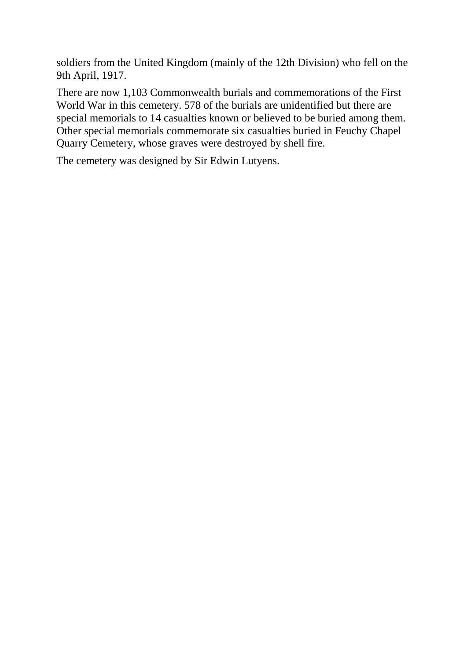soldiers from the United Kingdom (mainly of the 12th Division) who fell on the 9th April, 1917.

There are now 1,103 Commonwealth burials and commemorations of the First World War in this cemetery. 578 of the burials are unidentified but there are special memorials to 14 casualties known or believed to be buried among them. Other special memorials commemorate six casualties buried in Feuchy Chapel Quarry Cemetery, whose graves were destroyed by shell fire.

The cemetery was designed by Sir Edwin Lutyens.